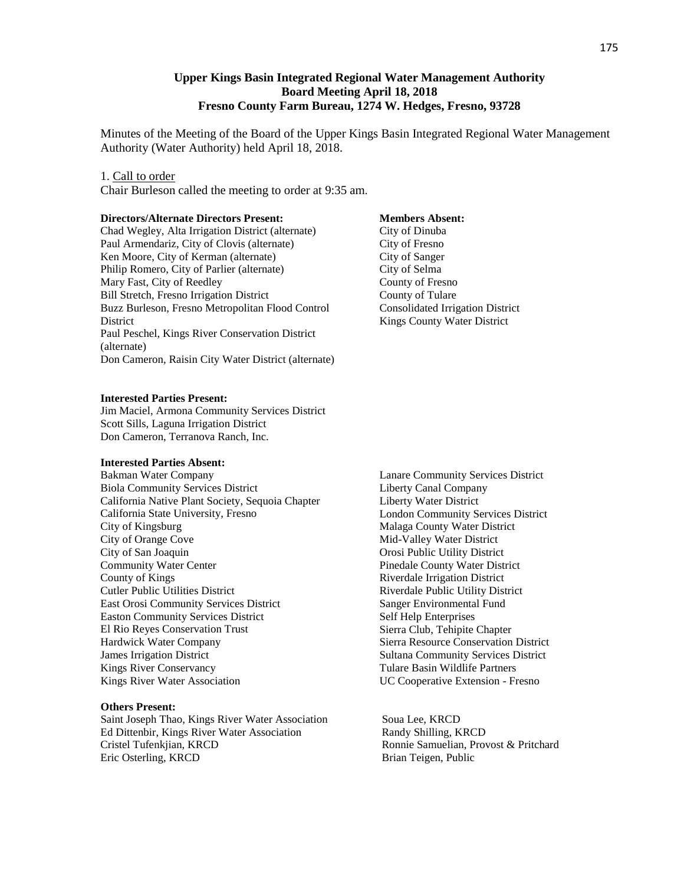#### **Upper Kings Basin Integrated Regional Water Management Authority Board Meeting April 18, 2018 Fresno County Farm Bureau, 1274 W. Hedges, Fresno, 93728**

Minutes of the Meeting of the Board of the Upper Kings Basin Integrated Regional Water Management Authority (Water Authority) held April 18, 2018.

#### 1. Call to order

Chair Burleson called the meeting to order at 9:35 am.

#### **Directors/Alternate Directors Present:**

Chad Wegley, Alta Irrigation District (alternate) Paul Armendariz, City of Clovis (alternate) Ken Moore, City of Kerman (alternate) Philip Romero, City of Parlier (alternate) Mary Fast, City of Reedley Bill Stretch, Fresno Irrigation District Buzz Burleson, Fresno Metropolitan Flood Control **District** Paul Peschel, Kings River Conservation District (alternate) Don Cameron, Raisin City Water District (alternate)

#### **Interested Parties Present:**

Jim Maciel, Armona Community Services District Scott Sills, Laguna Irrigation District Don Cameron, Terranova Ranch, Inc.

#### **Interested Parties Absent:**

Bakman Water Company Biola Community Services District California Native Plant Society, Sequoia Chapter California State University, Fresno City of Kingsburg City of Orange Cove City of San Joaquin Community Water Center County of Kings Cutler Public Utilities District East Orosi Community Services District Easton Community Services District El Rio Reyes Conservation Trust Hardwick Water Company James Irrigation District Kings River Conservancy Kings River Water Association

#### **Others Present:**

Saint Joseph Thao, Kings River Water Association Soua Lee, KRCD Ed Dittenbir, Kings River Water Association Randy Shilling, KRCD Cristel Tufenkjian, KRCD Ronnie Samuelian, Provost & Pritchard Eric Osterling, KRCD Brian Teigen, Public

#### **Members Absent:**

City of Dinuba City of Fresno City of Sanger City of Selma County of Fresno County of Tulare Consolidated Irrigation District Kings County Water District

Lanare Community Services District Liberty Canal Company Liberty Water District London Community Services District Malaga County Water District Mid-Valley Water District Orosi Public Utility District Pinedale County Water District Riverdale Irrigation District Riverdale Public Utility District Sanger Environmental Fund Self Help Enterprises Sierra Club, Tehipite Chapter Sierra Resource Conservation District Sultana Community Services District Tulare Basin Wildlife Partners UC Cooperative Extension - Fresno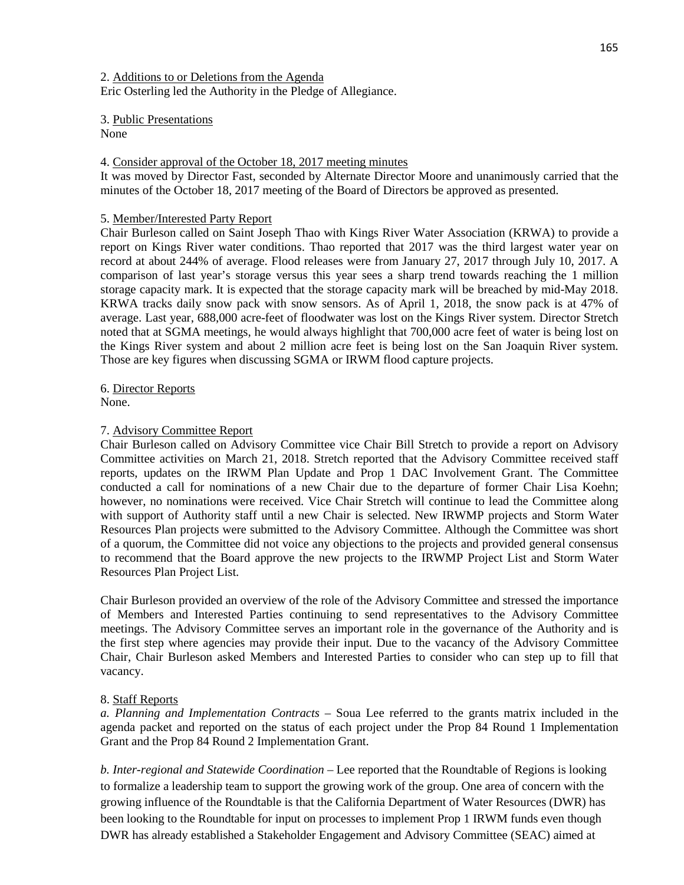2. Additions to or Deletions from the Agenda

Eric Osterling led the Authority in the Pledge of Allegiance.

3. Public Presentations

None

## 4. Consider approval of the October 18, 2017 meeting minutes

It was moved by Director Fast, seconded by Alternate Director Moore and unanimously carried that the minutes of the October 18, 2017 meeting of the Board of Directors be approved as presented.

## 5. Member/Interested Party Report

Chair Burleson called on Saint Joseph Thao with Kings River Water Association (KRWA) to provide a report on Kings River water conditions. Thao reported that 2017 was the third largest water year on record at about 244% of average. Flood releases were from January 27, 2017 through July 10, 2017. A comparison of last year's storage versus this year sees a sharp trend towards reaching the 1 million storage capacity mark. It is expected that the storage capacity mark will be breached by mid-May 2018. KRWA tracks daily snow pack with snow sensors. As of April 1, 2018, the snow pack is at 47% of average. Last year, 688,000 acre-feet of floodwater was lost on the Kings River system. Director Stretch noted that at SGMA meetings, he would always highlight that 700,000 acre feet of water is being lost on the Kings River system and about 2 million acre feet is being lost on the San Joaquin River system. Those are key figures when discussing SGMA or IRWM flood capture projects.

6. Director Reports

None.

## 7. Advisory Committee Report

Chair Burleson called on Advisory Committee vice Chair Bill Stretch to provide a report on Advisory Committee activities on March 21, 2018. Stretch reported that the Advisory Committee received staff reports, updates on the IRWM Plan Update and Prop 1 DAC Involvement Grant. The Committee conducted a call for nominations of a new Chair due to the departure of former Chair Lisa Koehn; however, no nominations were received. Vice Chair Stretch will continue to lead the Committee along with support of Authority staff until a new Chair is selected. New IRWMP projects and Storm Water Resources Plan projects were submitted to the Advisory Committee. Although the Committee was short of a quorum, the Committee did not voice any objections to the projects and provided general consensus to recommend that the Board approve the new projects to the IRWMP Project List and Storm Water Resources Plan Project List.

Chair Burleson provided an overview of the role of the Advisory Committee and stressed the importance of Members and Interested Parties continuing to send representatives to the Advisory Committee meetings. The Advisory Committee serves an important role in the governance of the Authority and is the first step where agencies may provide their input. Due to the vacancy of the Advisory Committee Chair, Chair Burleson asked Members and Interested Parties to consider who can step up to fill that vacancy.

### 8. Staff Reports

*a. Planning and Implementation Contracts* – Soua Lee referred to the grants matrix included in the agenda packet and reported on the status of each project under the Prop 84 Round 1 Implementation Grant and the Prop 84 Round 2 Implementation Grant.

*b. Inter-regional and Statewide Coordination* – Lee reported that the Roundtable of Regions is looking to formalize a leadership team to support the growing work of the group. One area of concern with the growing influence of the Roundtable is that the California Department of Water Resources (DWR) has been looking to the Roundtable for input on processes to implement Prop 1 IRWM funds even though DWR has already established a Stakeholder Engagement and Advisory Committee (SEAC) aimed at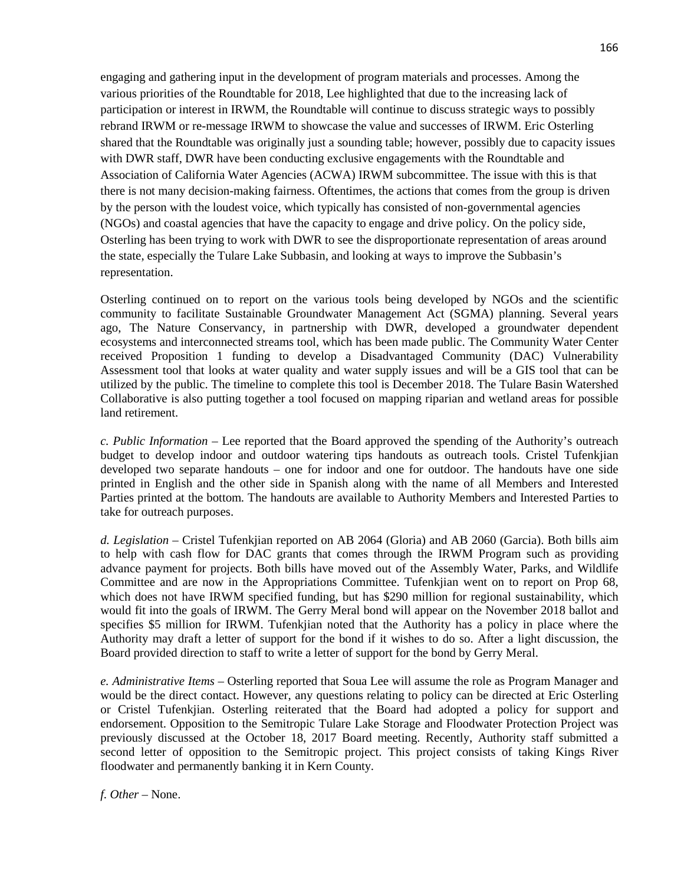engaging and gathering input in the development of program materials and processes. Among the various priorities of the Roundtable for 2018, Lee highlighted that due to the increasing lack of participation or interest in IRWM, the Roundtable will continue to discuss strategic ways to possibly rebrand IRWM or re-message IRWM to showcase the value and successes of IRWM. Eric Osterling shared that the Roundtable was originally just a sounding table; however, possibly due to capacity issues with DWR staff, DWR have been conducting exclusive engagements with the Roundtable and Association of California Water Agencies (ACWA) IRWM subcommittee. The issue with this is that there is not many decision-making fairness. Oftentimes, the actions that comes from the group is driven by the person with the loudest voice, which typically has consisted of non-governmental agencies (NGOs) and coastal agencies that have the capacity to engage and drive policy. On the policy side, Osterling has been trying to work with DWR to see the disproportionate representation of areas around the state, especially the Tulare Lake Subbasin, and looking at ways to improve the Subbasin's representation.

Osterling continued on to report on the various tools being developed by NGOs and the scientific community to facilitate Sustainable Groundwater Management Act (SGMA) planning. Several years ago, The Nature Conservancy, in partnership with DWR, developed a groundwater dependent ecosystems and interconnected streams tool, which has been made public. The Community Water Center received Proposition 1 funding to develop a Disadvantaged Community (DAC) Vulnerability Assessment tool that looks at water quality and water supply issues and will be a GIS tool that can be utilized by the public. The timeline to complete this tool is December 2018. The Tulare Basin Watershed Collaborative is also putting together a tool focused on mapping riparian and wetland areas for possible land retirement.

*c. Public Information* – Lee reported that the Board approved the spending of the Authority's outreach budget to develop indoor and outdoor watering tips handouts as outreach tools. Cristel Tufenkjian developed two separate handouts – one for indoor and one for outdoor. The handouts have one side printed in English and the other side in Spanish along with the name of all Members and Interested Parties printed at the bottom. The handouts are available to Authority Members and Interested Parties to take for outreach purposes.

*d. Legislation* – Cristel Tufenkjian reported on AB 2064 (Gloria) and AB 2060 (Garcia). Both bills aim to help with cash flow for DAC grants that comes through the IRWM Program such as providing advance payment for projects. Both bills have moved out of the Assembly Water, Parks, and Wildlife Committee and are now in the Appropriations Committee. Tufenkjian went on to report on Prop 68, which does not have IRWM specified funding, but has \$290 million for regional sustainability, which would fit into the goals of IRWM. The Gerry Meral bond will appear on the November 2018 ballot and specifies \$5 million for IRWM. Tufenkjian noted that the Authority has a policy in place where the Authority may draft a letter of support for the bond if it wishes to do so. After a light discussion, the Board provided direction to staff to write a letter of support for the bond by Gerry Meral.

*e. Administrative Items* – Osterling reported that Soua Lee will assume the role as Program Manager and would be the direct contact. However, any questions relating to policy can be directed at Eric Osterling or Cristel Tufenkjian. Osterling reiterated that the Board had adopted a policy for support and endorsement. Opposition to the Semitropic Tulare Lake Storage and Floodwater Protection Project was previously discussed at the October 18, 2017 Board meeting. Recently, Authority staff submitted a second letter of opposition to the Semitropic project. This project consists of taking Kings River floodwater and permanently banking it in Kern County.

*f. Other* – None.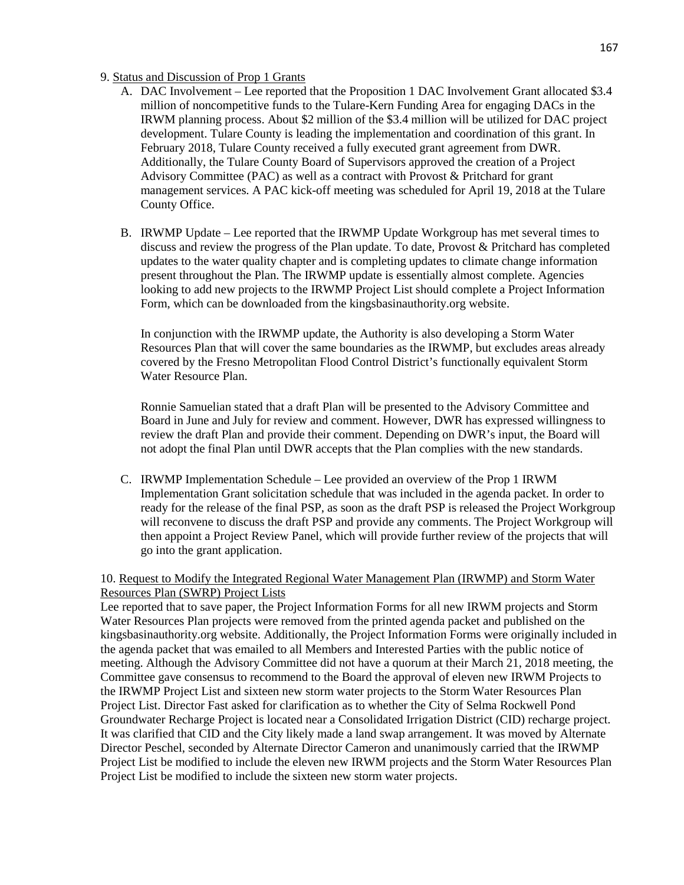### 9. Status and Discussion of Prop 1 Grants

- A. DAC Involvement Lee reported that the Proposition 1 DAC Involvement Grant allocated \$3.4 million of noncompetitive funds to the Tulare-Kern Funding Area for engaging DACs in the IRWM planning process. About \$2 million of the \$3.4 million will be utilized for DAC project development. Tulare County is leading the implementation and coordination of this grant. In February 2018, Tulare County received a fully executed grant agreement from DWR. Additionally, the Tulare County Board of Supervisors approved the creation of a Project Advisory Committee (PAC) as well as a contract with Provost & Pritchard for grant management services. A PAC kick-off meeting was scheduled for April 19, 2018 at the Tulare County Office.
- B. IRWMP Update Lee reported that the IRWMP Update Workgroup has met several times to discuss and review the progress of the Plan update. To date, Provost & Pritchard has completed updates to the water quality chapter and is completing updates to climate change information present throughout the Plan. The IRWMP update is essentially almost complete. Agencies looking to add new projects to the IRWMP Project List should complete a Project Information Form, which can be downloaded from the kingsbasinauthority.org website.

In conjunction with the IRWMP update, the Authority is also developing a Storm Water Resources Plan that will cover the same boundaries as the IRWMP, but excludes areas already covered by the Fresno Metropolitan Flood Control District's functionally equivalent Storm Water Resource Plan.

Ronnie Samuelian stated that a draft Plan will be presented to the Advisory Committee and Board in June and July for review and comment. However, DWR has expressed willingness to review the draft Plan and provide their comment. Depending on DWR's input, the Board will not adopt the final Plan until DWR accepts that the Plan complies with the new standards.

C. IRWMP Implementation Schedule – Lee provided an overview of the Prop 1 IRWM Implementation Grant solicitation schedule that was included in the agenda packet. In order to ready for the release of the final PSP, as soon as the draft PSP is released the Project Workgroup will reconvene to discuss the draft PSP and provide any comments. The Project Workgroup will then appoint a Project Review Panel, which will provide further review of the projects that will go into the grant application.

10. Request to Modify the Integrated Regional Water Management Plan (IRWMP) and Storm Water Resources Plan (SWRP) Project Lists

Lee reported that to save paper, the Project Information Forms for all new IRWM projects and Storm Water Resources Plan projects were removed from the printed agenda packet and published on the kingsbasinauthority.org website. Additionally, the Project Information Forms were originally included in the agenda packet that was emailed to all Members and Interested Parties with the public notice of meeting. Although the Advisory Committee did not have a quorum at their March 21, 2018 meeting, the Committee gave consensus to recommend to the Board the approval of eleven new IRWM Projects to the IRWMP Project List and sixteen new storm water projects to the Storm Water Resources Plan Project List. Director Fast asked for clarification as to whether the City of Selma Rockwell Pond Groundwater Recharge Project is located near a Consolidated Irrigation District (CID) recharge project. It was clarified that CID and the City likely made a land swap arrangement. It was moved by Alternate Director Peschel, seconded by Alternate Director Cameron and unanimously carried that the IRWMP Project List be modified to include the eleven new IRWM projects and the Storm Water Resources Plan Project List be modified to include the sixteen new storm water projects.